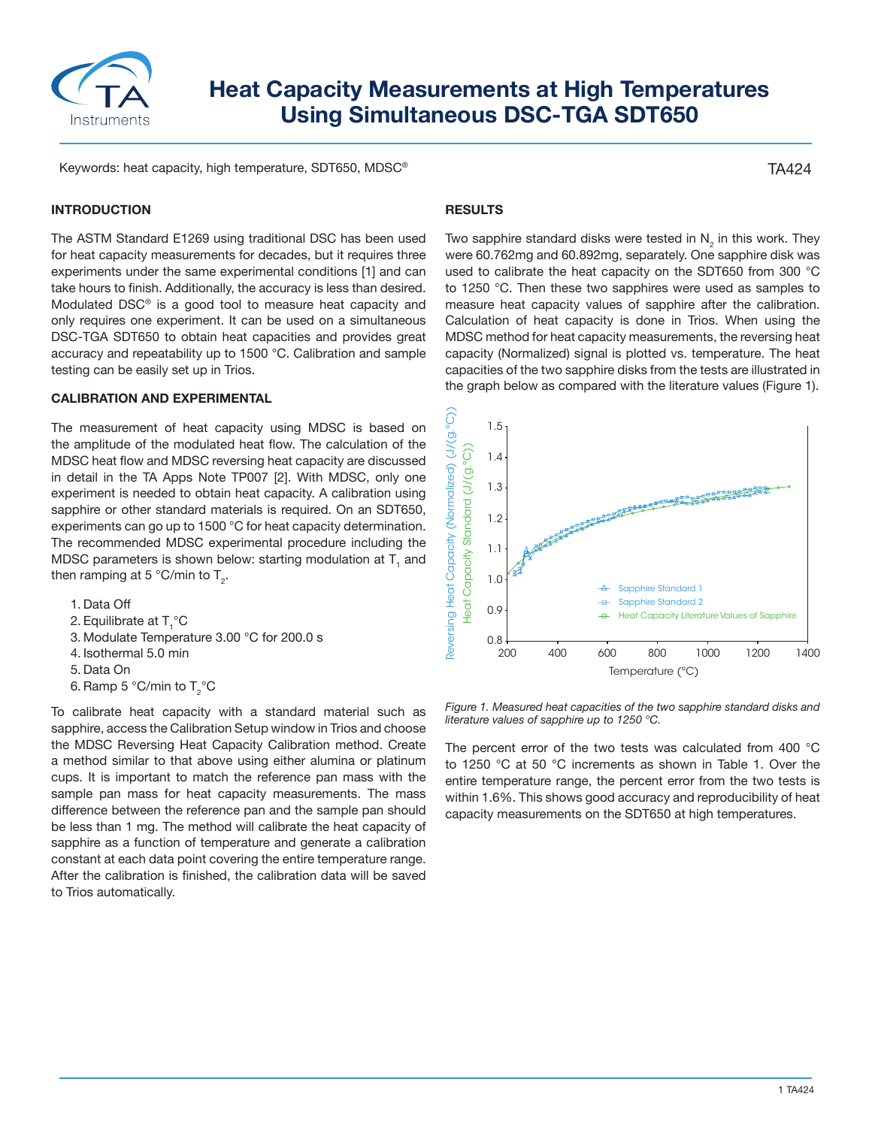

# **Heat Capacity Measurements at High Temperatures Using Simultaneous DSC-TGA SDT650**

Keywords: heat capacity, high temperature, SDT650, MDSC®

### **INTRODUCTION**

The ASTM Standard E1269 using traditional DSC has been used for heat capacity measurements for decades, but it requires three experiments under the same experimental conditions [1] and can take hours to finish. Additionally, the accuracy is less than desired. Modulated DSC® is a good tool to measure heat capacity and only requires one experiment. It can be used on a simultaneous DSC-TGA SDT650 to obtain heat capacities and provides great accuracy and repeatability up to 1500 °C. Calibration and sample testing can be easily set up in Trios.

#### **CALIBRATION AND EXPERIMENTAL**

The measurement of heat capacity using MDSC is based on the amplitude of the modulated heat flow. The calculation of the MDSC heat flow and MDSC reversing heat capacity are discussed in detail in the TA Apps Note TP007 [2]. With MDSC, only one experiment is needed to obtain heat capacity. A calibration using sapphire or other standard materials is required. On an SDT650, experiments can go up to 1500 °C for heat capacity determination. The recommended MDSC experimental procedure including the MDSC parameters is shown below: starting modulation at  ${\sf T}_{\sf i}$  and then ramping at 5 °C/min to T $_{\textrm{\tiny{2}}}$ .

- 1. Data Off
- 2. Equilibrate at  $\mathsf{T}_1^{\circ}\mathsf{C}$
- 3. Modulate Temperature 3.00 °C for 200.0 s
- 4. Isothermal 5.0 min
- 5. Data On
- 6. Ramp 5 °C/min to  $T_{2}$ °C

To calibrate heat capacity with a standard material such as sapphire, access the Calibration Setup window in Trios and choose the MDSC Reversing Heat Capacity Calibration method. Create a method similar to that above using either alumina or platinum cups. It is important to match the reference pan mass with the sample pan mass for heat capacity measurements. The mass difference between the reference pan and the sample pan should be less than 1 mg. The method will calibrate the heat capacity of sapphire as a function of temperature and generate a calibration constant at each data point covering the entire temperature range. After the calibration is finished, the calibration data will be saved to Trios automatically.

## **RESULTS**

Two sapphire standard disks were tested in  $\mathsf{N}_2$  in this work. They were 60.762mg and 60.892mg, separately. One sapphire disk was used to calibrate the heat capacity on the SDT650 from 300 °C to 1250 °C. Then these two sapphires were used as samples to measure heat capacity values of sapphire after the calibration. Calculation of heat capacity is done in Trios. When using the MDSC method for heat capacity measurements, the reversing heat capacity (Normalized) signal is plotted vs. temperature. The heat capacities of the two sapphire disks from the tests are illustrated in the graph below as compared with the literature values (Figure 1).



*Figure 1. Measured heat capacities of the two sapphire standard disks and literature values of sapphire up to 1250 °C.* 

The percent error of the two tests was calculated from 400 °C to 1250 °C at 50 °C increments as shown in Table 1. Over the entire temperature range, the percent error from the two tests is within 1.6%. This shows good accuracy and reproducibility of heat